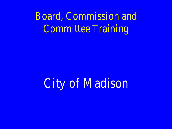Board, Commission and Committee Training

City of Madison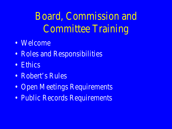Board, Commission and Committee Training

- Welcome
- Roles and Responsibilities
- Ethics
- Robert's Rules
- Open Meetings Requirements
- Public Records Requirements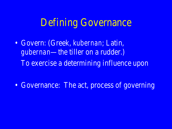## Defining Governance

• Govern: (Greek, *kubernan*; Latin, *gubernan*—the tiller on a rudder.) To exercise a determining influence upon

• Governance: The act, process of governing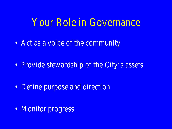### Your Role in Governance

• Act as a voice of the community

• Provide stewardship of the City's assets

• Define purpose and direction

• Monitor progress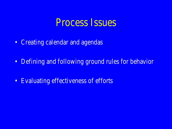### Process Issues

- Creating calendar and agendas
- Defining and following ground rules for behavior
- Evaluating effectiveness of efforts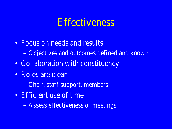### **Effectiveness**

- Focus on needs and results – Objectives and outcomes defined and known
- Collaboration with constituency
- Roles are clear
	- Chair, staff support, members
- Efficient use of time
	- Assess effectiveness of meetings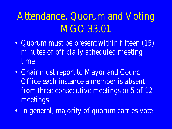# Attendance, Quorum and Voting MGO 33.01

- Quorum must be present within fifteen  $(15)$ minutes of officially scheduled meeting time
- Chair must report to Mayor and Council Office each instance a member is *absent*  from three consecutive meetings or 5 of 12 meetings
- In general, majority of quorum carries vote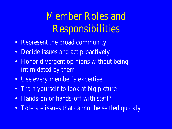# Member Roles and Responsibilities

- Represent the broad community
- Decide issues and act proactively
- Honor divergent opinions without being intimidated by them
- Use every member's expertise
- Train yourself to look at big picture
- Hands-on or hands-off with staff?
- Tolerate issues that cannot be settled quickly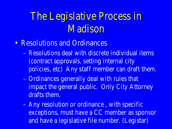## The Legislative Process in Madison

- Resolutions and Ordinances
	- Resolutions deal with discrete individual items (contract approvals, setting internal city policies, etc) Any staff member can draft them.
	- Ordinances generally deal with rules that impact the general public. Only City Attorney drafts them.
	- Any resolution or ordinance , with specific exceptions, must have a CC member as sponsor and have a legislative file number. (Legistar)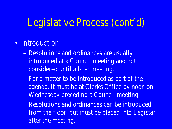## Legislative Process (cont'd)

- Introduction
	- Resolutions and ordinances are usually introduced at a Council meeting and not considered until a later meeting.
	- For a matter to be introduced as part of the agenda, it must be at Clerks Office by noon on Wednesday preceding a Council meeting.
	- Resolutions and ordinances can be introduced from the floor, but must be placed into Legistar after the meeting.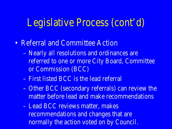### Legislative Process (cont'd)

- Referral and Committee Action
	- Nearly all resolutions and ordinances are referred to one or more City Board, Committee or Commission (BCC)
	- First listed BCC is the lead referral
	- Other BCC (secondary referrals) can review the matter before lead and make recommendations
	- Lead BCC reviews matter, makes recommendations and changes that are normally the action voted on by Council.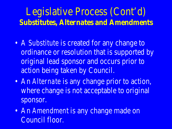## Legislative Process (Cont'd) **Substitutes, Alternates and Amendments**

- A *Substitute* is created for any change to ordinance or resolution that is supported by original lead sponsor and occurs prior to action being taken by Council.
- An *Alternate* is any change prior to action, where change is not acceptable to original sponsor.
- An *Amendmen*t is any change made on Council floor.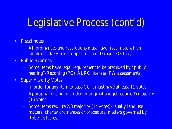## Legislative Process (cont'd)

- Fiscal notes
	- All ordinances and resolutions must have fiscal note which identifies likely fiscal impact of item (Finance Office)
- Public Hearings
	- Some items have legal requirement to be preceded by "public hearing"-Rezoning (PC), ALRC licenses, PW assessments
- Super Majority Votes
	- In order for any item to pass CC it must have at least 11 votes
	- Appropriations not included in original budget require ¾ majority (15 votes)
	- Some items require 2/3 majority (14 votes)-usually land use matters, charter ordinances or procedural matters governed by Robert's Rules.